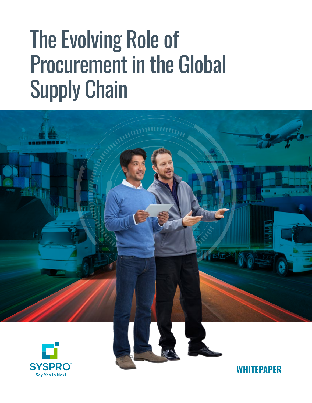# The Evolving Role of Procurement in the Global Supply Chain





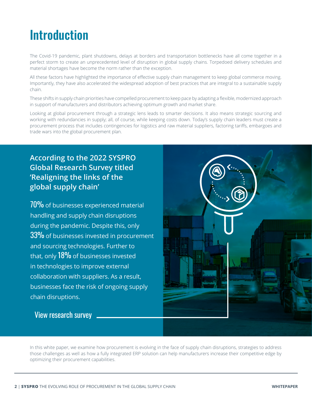# Introduction

The Covid-19 pandemic, plant shutdowns, delays at borders and transportation bottlenecks have all come together in a perfect storm to create an unprecedented level of disruption in global supply chains. Torpedoed delivery schedules and material shortages have become the norm rather than the exception.

All these factors have highlighted the importance of effective supply chain management to keep global commerce moving. Importantly, they have also accelerated the widespread adoption of best practices that are integral to a sustainable supply chain.

These shifts in supply chain priorities have compelled procurement to keep pace by adapting a flexible, modernized approach in support of manufacturers and distributors achieving optimum growth and market share.

Looking at global procurement through a strategic lens leads to smarter decisions. It also means strategic sourcing and working with redundancies in supply; all, of course, while keeping costs down. Today's supply chain leaders must create a procurement process that includes contingencies for logistics and raw material suppliers, factoring tariffs, embargoes and trade wars into the global procurement plan.

#### **According to the 2022 SYSPRO Global Research Survey titled 'Realigning the links of the global supply chain'**

70% of businesses experienced material handling and supply chain disruptions during the pandemic. Despite this, only 33% of businesses invested in procurement and sourcing technologies. Further to that, only 18% of businesses invested in technologies to improve external collaboration with suppliers. As a result, businesses face the risk of ongoing supply chain disruptions.



[View research survey](https://www.syspro.com/analyst_report/research-report-reconnecting-the-links-of-the-disconnected-supply-chain/)

In this white paper, we examine how procurement is evolving in the face of supply chain disruptions, strategies to address those challenges as well as how a fully integrated ERP solution can help manufacturers increase their competitive edge by optimizing their procurement capabilities.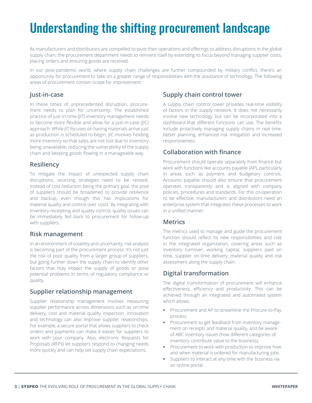# Understanding the shifting procurement landscape

As manufacturers and distributors are compelled to pivot their operations and offerings to address disruptions in the global supply chain, the procurement department needs to reinvent itself by extending its focus beyond managing supplier costs, placing orders and ensuring goods are received.

In our post-pandemic world, where supply chain challenges are further compounded by military conflict, there's an opportunity for procurement to take on a greater range of responsibilities with the assistance of technology. The following areas of procurement contain scope for improvement:

#### **Just-in-case**

In these times of unprecedented disruption, procurement needs to plan for uncertainty. The established practice of just-in-time (JIT) inventory management needs to become more flexible and allow for a just-in-case (JIC) approach. While JIT focuses on having materials arrive just as production is scheduled to begin, JIC involves holding more inventory so that sales are not lost due to inventory being unavailable, reducing the vulnerability of the supply chain and keeping goods flowing in a manageable way.

#### **Resiliency**

To mitigate the impact of unexpected supply chain disruptions, sourcing strategies need to be revised. Instead of cost reduction being the primary goal, the pool of suppliers should be broadened to provide resilience and backup, even though this has implications for material quality and control over costs. By integrating with inventory receipting and quality control, quality issues can be immediately fed back to procurement for follow-up with suppliers.

#### **Risk management**

In an environment of volatility and uncertainty, risk analysis is becoming part of the procurement process. It's not just the risk of poor quality from a larger group of suppliers, but going further down the supply chain to identify other factors that may impact the supply of goods or pose potential problems in terms of regulatory compliance or quality.

#### **Supplier relationship management**

Supplier relationship management involves measuring supplier performance across dimensions such as on-time delivery, cost and material quality inspection. Innovation and technology can also improve supplier relationships. For example, a secure portal that allows suppliers to check orders and payments can make it easier for suppliers to work with your company. Also, electronic Requests for Proposals (RFPs) let suppliers respond to changing needs more quickly and can help set supply chain expectations.

#### **Supply chain control tower**

A supply chain control tower provides real-time visibility of factors in the supply network. It does not necessarily involve new technology but can be incorporated into a dashboard that different functions can use. The benefits include proactively managing supply chains in real time, better planning, enhanced risk mitigation and increased responsiveness.

#### **Collaboration with finance**

Procurement should operate separately from finance but work with functions like accounts payable (AP), particularly in areas such as payment and budgetary controls. Accounts payable should also ensure that procurement operates transparently and is aligned with company policies, procedures and standards. For this co-operation to be effective, manufacturers and distributors need an enterprise system that integrates these processes to work in a unified manner.

#### **Metrics**

The metrics used to manage and guide the procurement function should reflect its new responsibilities and role in the integrated organization, covering areas such as inventory turnover, working capital, suppliers paid on time, supplier on-time delivery, material quality and risk assessment along the supply chain.

#### **Digital transformation**

The digital transformation of procurement will enhance effectiveness, efficiency and productivity. This can be achieved through an integrated and automated system which allows:

- § Procurement and AP to streamline the Procure-to-Pay process.
- **Procurement to get feedback from inventory manage**ment on receipts and material quality, and be aware of ABC inventory issues (how different categories of inventory contribute value to the business).
- **•** Procurement to work with production to improve how and when material is ordered for manufacturing jobs.
- Suppliers to interact at any time with the business via an online portal.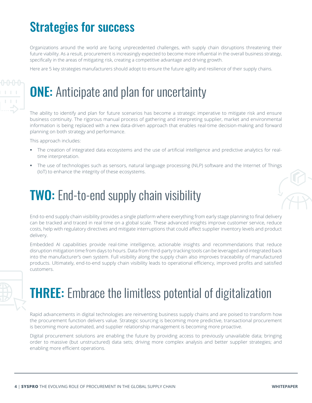# Strategies for success

Organizations around the world are facing unprecedented challenges, with supply chain disruptions threatening their future viability. As a result, procurement is increasingly expected to become more influential in the overall business strategy, specifically in the areas of mitigating risk, creating a competitive advantage and driving growth.

Here are 5 key strategies manufacturers should adopt to ensure the future agility and resilience of their supply chains.

# **ONE:** Anticipate and plan for uncertainty

The ability to identify and plan for future scenarios has become a strategic imperative to mitigate risk and ensure business continuity. The rigorous manual process of gathering and interpreting supplier, market and environmental information is being replaced with a new data-driven approach that enables real-time decision-making and forward planning on both strategy and performance.

This approach includes:

- The creation of integrated data ecosystems and the use of artificial intelligence and predictive analytics for realtime interpretation.
- The use of technologies such as sensors, natural language processing (NLP) software and the Internet of Things (IoT) to enhance the integrity of these ecosystems.

# **TWO:** End-to-end supply chain visibility

End-to-end supply chain visibility provides a single platform where everything from early stage planning to final delivery can be tracked and traced in real time on a global scale. These advanced insights improve customer service, reduce costs, help with regulatory directives and mitigate interruptions that could affect supplier inventory levels and product delivery.

Embedded AI capabilities provide real-time intelligence, actionable insights and recommendations that reduce disruption mitigation time from days to hours. Data from third-party tracking tools can be leveraged and integrated back into the manufacturer's own system. Full visibility along the supply chain also improves traceability of manufactured products. Ultimately, end-to-end supply chain visibility leads to operational efficiency, improved profits and satisfied customers.



# **THREE:** Embrace the limitless potential of digitalization

Rapid advancements in digital technologies are reinventing business supply chains and are poised to transform how the procurement function delivers value. Strategic sourcing is becoming more predictive, transactional procurement is becoming more automated, and supplier relationship management is becoming more proactive.

Digital procurement solutions are enabling the future by providing access to previously unavailable data; bringing order to massive (but unstructured) data sets; driving more complex analysis and better supplier strategies; and enabling more efficient operations.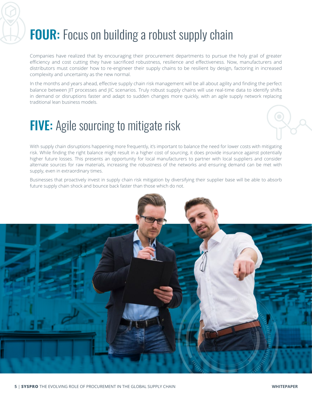# FOUR: Focus on building a robust supply chain

Companies have realized that by encouraging their procurement departments to pursue the holy grail of greater efficiency and cost cutting they have sacrificed robustness, resilience and effectiveness. Now, manufacturers and distributors must consider how to re-engineer their supply chains to be resilient by design, factoring in increased complexity and uncertainty as the new normal.

In the months and years ahead, effective supply chain risk management will be all about agility and finding the perfect balance between JIT processes and JIC scenarios. Truly robust supply chains will use real-time data to identify shifts in demand or disruptions faster and adapt to sudden changes more quickly, with an agile supply network replacing traditional lean business models.

# **FIVE:** Agile sourcing to mitigate risk

With supply chain disruptions happening more frequently, it's important to balance the need for lower costs with mitigating risk. While finding the right balance might result in a higher cost of sourcing, it does provide insurance against potentially higher future losses. This presents an opportunity for local manufacturers to partner with local suppliers and consider alternate sources for raw materials, increasing the robustness of the networks and ensuring demand can be met with supply, even in extraordinary times.

Businesses that proactively invest in supply chain risk mitigation by diversifying their supplier base will be able to absorb future supply chain shock and bounce back faster than those which do not.

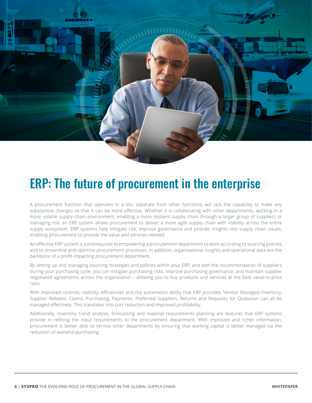

### ERP: The future of procurement in the enterprise

A procurement function that operates in a silo, separate from other functions, will lack the capability to make any substantive changes so that it can be more effective. Whether it is collaborating with other departments, working in a more volatile supply chain environment, enabling a more resilient supply chain through a larger group of suppliers or managing risk, an ERP system allows procurement to deliver a more agile supply chain with visibility across the entire supply ecosystem. ERP systems help mitigate risk, improve governance and provide insights into supply chain issues, enabling procurement to provide the value and services needed.

An effective ERP system is a prerequisite to empowering a procurement department to work according to sourcing policies and to streamline and optimize procurement processes. In addition, organizational insights and operational data are the backbone of a profit-impacting procurement department.

By setting up and managing sourcing strategies and policies within your ERP, and with the recommendation of suppliers during your purchasing cycle, you can mitigate purchasing risks, improve purchasing governance, and maintain supplier negotiated agreements across the organization – allowing you to buy products and services at the best value-to-price ratio.

With improved controls, visibility, efficiencies and the automation ability that ERP provides, Vendor Managed Inventory, Supplier Rebates, Claims, Purchasing, Payments, Preferred Suppliers, Returns and Requests for Quotation can all be managed effectively. This translates into cost reduction and improved profitability.

Additionally, inventory trend analysis, forecasting and material requirements planning are features that ERP systems provide in refining the input requirements to the procurement department. With improved and richer information, procurement is better able to service other departments by ensuring that working capital is better managed via the reduction of wasteful purchasing.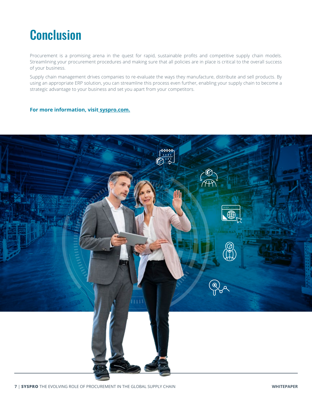# Conclusion

Procurement is a promising arena in the quest for rapid, sustainable profits and competitive supply chain models. Streamlining your procurement procedures and making sure that all policies are in place is critical to the overall success of your business.

Supply chain management drives companies to re-evaluate the ways they manufacture, distribute and sell products. By using an appropriate ERP solution, you can streamline this process even further, enabling your supply chain to become a strategic advantage to your business and set you apart from your competitors.

#### **For more information, visi[t syspro.com.](https://za.syspro.com)**